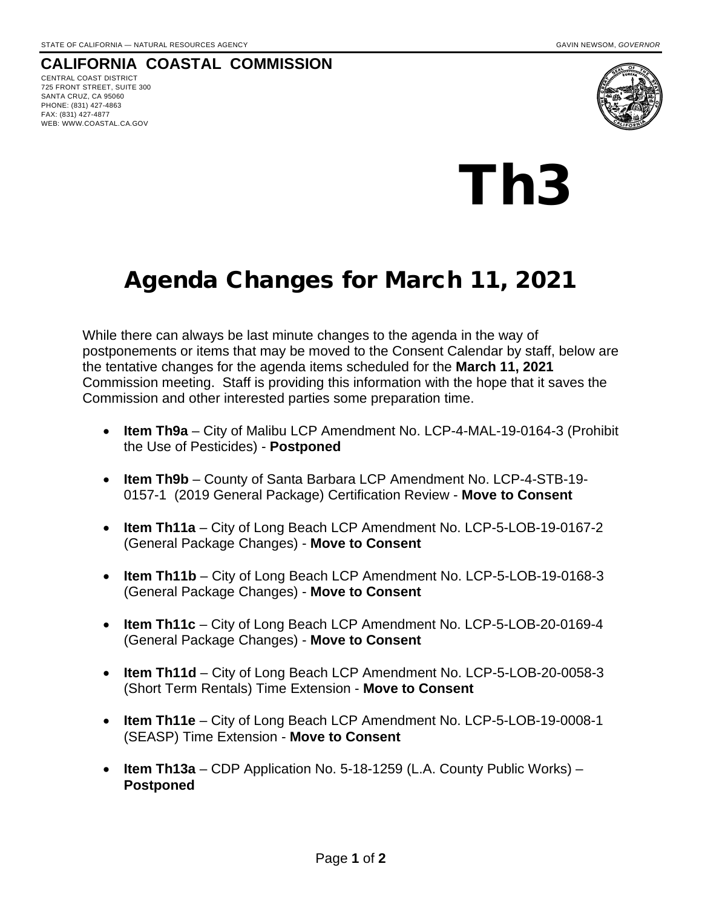## **CALIFORNIA COASTAL COMMISSION**

CENTRAL COAST DISTRICT 725 FRONT STREET, SUITE 300 SANTA CRUZ, CA 95060 PHONE: (831) 427-4863 FAX: (831) 427-4877 WEB: WWW.COASTAL.CA.GOV



## Th3

## Agenda Changes for March 11, 2021

While there can always be last minute changes to the agenda in the way of postponements or items that may be moved to the Consent Calendar by staff, below are the tentative changes for the agenda items scheduled for the **March 11, 2021** Commission meeting. Staff is providing this information with the hope that it saves the Commission and other interested parties some preparation time.

- **Item Th9a** City of Malibu LCP Amendment No. LCP-4-MAL-19-0164-3 (Prohibit the Use of Pesticides) - **Postponed**
- **Item Th9b** County of Santa Barbara LCP Amendment No. LCP-4-STB-19- 0157-1 (2019 General Package) Certification Review - **Move to Consent**
- **Item Th11a**  City of Long Beach LCP Amendment No. LCP-5-LOB-19-0167-2 (General Package Changes) - **Move to Consent**
- **Item Th11b** City of Long Beach LCP Amendment No. LCP-5-LOB-19-0168-3 (General Package Changes) - **Move to Consent**
- **Item Th11c** City of Long Beach LCP Amendment No. LCP-5-LOB-20-0169-4 (General Package Changes) - **Move to Consent**
- **Item Th11d** City of Long Beach LCP Amendment No. LCP-5-LOB-20-0058-3 (Short Term Rentals) Time Extension - **Move to Consent**
- **Item Th11e** City of Long Beach LCP Amendment No. LCP-5-LOB-19-0008-1 (SEASP) Time Extension - **Move to Consent**
- **Item Th13a** CDP Application No. 5-18-1259 (L.A. County Public Works) **Postponed**